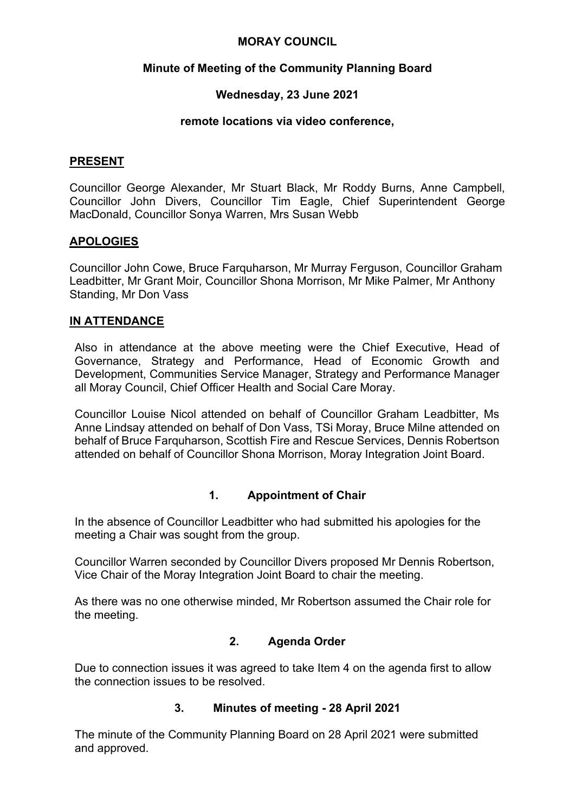### **MORAY COUNCIL**

## **Minute of Meeting of the Community Planning Board**

### **Wednesday, 23 June 2021**

#### **remote locations via video conference,**

#### **PRESENT**

Councillor George Alexander, Mr Stuart Black, Mr Roddy Burns, Anne Campbell, Councillor John Divers, Councillor Tim Eagle, Chief Superintendent George MacDonald, Councillor Sonya Warren, Mrs Susan Webb

#### **APOLOGIES**

Councillor John Cowe, Bruce Farquharson, Mr Murray Ferguson, Councillor Graham Leadbitter, Mr Grant Moir, Councillor Shona Morrison, Mr Mike Palmer, Mr Anthony Standing, Mr Don Vass

### **IN ATTENDANCE**

Also in attendance at the above meeting were the Chief Executive, Head of Governance, Strategy and Performance, Head of Economic Growth and Development, Communities Service Manager, Strategy and Performance Manager all Moray Council, Chief Officer Health and Social Care Moray.

Councillor Louise Nicol attended on behalf of Councillor Graham Leadbitter, Ms Anne Lindsay attended on behalf of Don Vass, TSi Moray, Bruce Milne attended on behalf of Bruce Farquharson, Scottish Fire and Rescue Services, Dennis Robertson attended on behalf of Councillor Shona Morrison, Moray Integration Joint Board.

## **1. Appointment of Chair**

In the absence of Councillor Leadbitter who had submitted his apologies for the meeting a Chair was sought from the group.

Councillor Warren seconded by Councillor Divers proposed Mr Dennis Robertson, Vice Chair of the Moray Integration Joint Board to chair the meeting.

As there was no one otherwise minded, Mr Robertson assumed the Chair role for the meeting.

#### **2. Agenda Order**

Due to connection issues it was agreed to take Item 4 on the agenda first to allow the connection issues to be resolved.

#### **3. Minutes of meeting - 28 April 2021**

The minute of the Community Planning Board on 28 April 2021 were submitted and approved.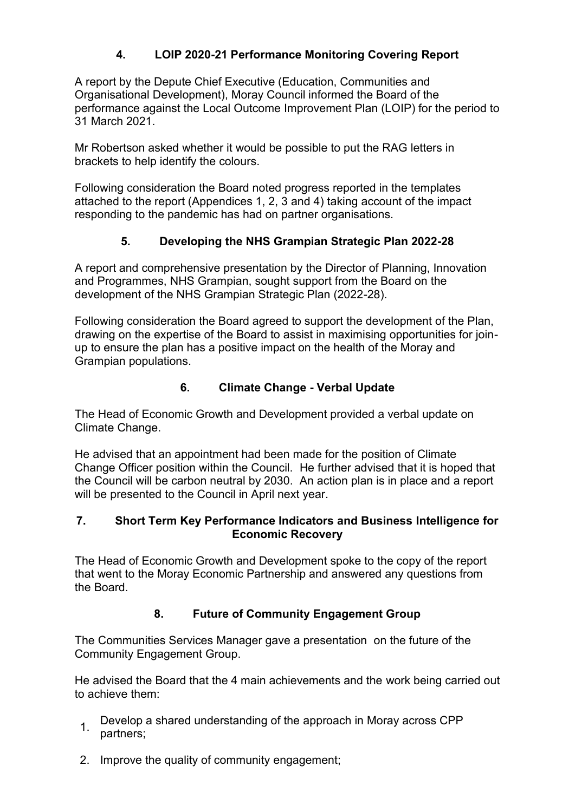## **4. LOIP 2020-21 Performance Monitoring Covering Report**

A report by the Depute Chief Executive (Education, Communities and Organisational Development), Moray Council informed the Board of the performance against the Local Outcome Improvement Plan (LOIP) for the period to 31 March 2021.

Mr Robertson asked whether it would be possible to put the RAG letters in brackets to help identify the colours.

Following consideration the Board noted progress reported in the templates attached to the report (Appendices 1, 2, 3 and 4) taking account of the impact responding to the pandemic has had on partner organisations.

## **5. Developing the NHS Grampian Strategic Plan 2022-28**

A report and comprehensive presentation by the Director of Planning, Innovation and Programmes, NHS Grampian, sought support from the Board on the development of the NHS Grampian Strategic Plan (2022-28).

Following consideration the Board agreed to support the development of the Plan, drawing on the expertise of the Board to assist in maximising opportunities for joinup to ensure the plan has a positive impact on the health of the Moray and Grampian populations.

# **6. Climate Change - Verbal Update**

The Head of Economic Growth and Development provided a verbal update on Climate Change.

He advised that an appointment had been made for the position of Climate Change Officer position within the Council. He further advised that it is hoped that the Council will be carbon neutral by 2030. An action plan is in place and a report will be presented to the Council in April next year.

## **7. Short Term Key Performance Indicators and Business Intelligence for Economic Recovery**

The Head of Economic Growth and Development spoke to the copy of the report that went to the Moray Economic Partnership and answered any questions from the Board.

# **8. Future of Community Engagement Group**

The Communities Services Manager gave a presentation on the future of the Community Engagement Group.

He advised the Board that the 4 main achievements and the work being carried out to achieve them:

- 1. Develop a shared understanding of the approach in Moray across CPP partners;
- 2. Improve the quality of community engagement;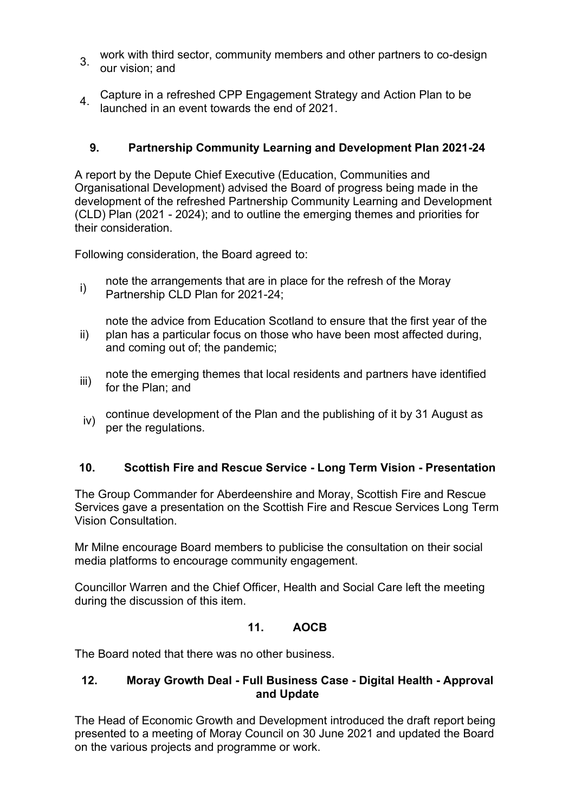- 3. work with third sector, community members and other partners to co-design our vision; and
- 4. Capture in a refreshed CPP Engagement Strategy and Action Plan to be<br>4. Jaunahed in an avent tauged the sud of 2004 launched in an event towards the end of 2021.

## **9. Partnership Community Learning and Development Plan 2021-24**

A report by the Depute Chief Executive (Education, Communities and Organisational Development) advised the Board of progress being made in the development of the refreshed Partnership Community Learning and Development (CLD) Plan (2021 - 2024); and to outline the emerging themes and priorities for their consideration.

Following consideration, the Board agreed to:

i) note the arrangements that are in place for the refresh of the Moray<br> $\frac{1}{2}$ Partnership CLD Plan for 2021-24;

ii) note the advice from Education Scotland to ensure that the first year of the plan has a particular focus on those who have been most affected during, and coming out of; the pandemic;

- iii) note the emerging themes that local residents and partners have identified for the Plan; and
- iv) continue development of the Plan and the publishing of it by 31 August as per the regulations.

## **10. Scottish Fire and Rescue Service - Long Term Vision - Presentation**

The Group Commander for Aberdeenshire and Moray, Scottish Fire and Rescue Services gave a presentation on the Scottish Fire and Rescue Services Long Term Vision Consultation.

Mr Milne encourage Board members to publicise the consultation on their social media platforms to encourage community engagement.

Councillor Warren and the Chief Officer, Health and Social Care left the meeting during the discussion of this item.

## **11. AOCB**

The Board noted that there was no other business.

## **12. Moray Growth Deal - Full Business Case - Digital Health - Approval and Update**

The Head of Economic Growth and Development introduced the draft report being presented to a meeting of Moray Council on 30 June 2021 and updated the Board on the various projects and programme or work.